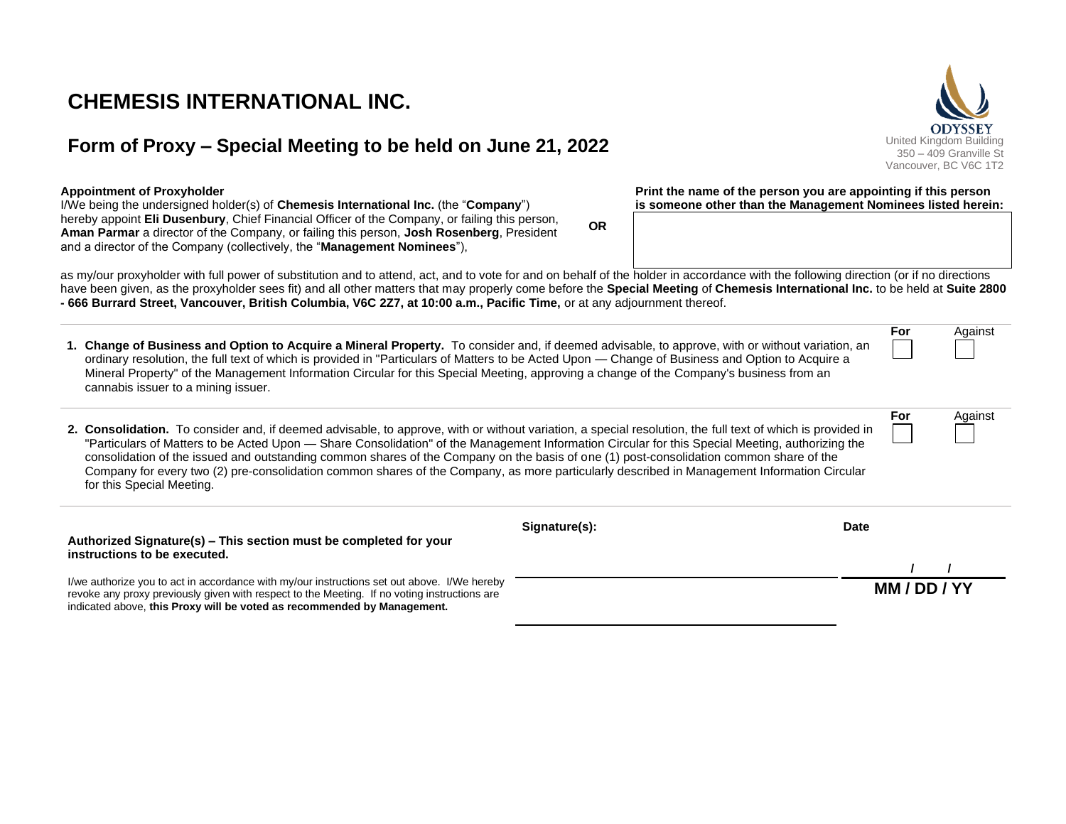# **CHEMESIS INTERNATIONAL INC.**

## **Form of Proxy – Special Meeting to be held on June 21, 2022** United Kingdom Building

#### **Appointment of Proxyholder**

I/We being the undersigned holder(s) of **Chemesis International Inc.** (the "**Company**") hereby appoint **Eli Dusenbury**, Chief Financial Officer of the Company, or failing this person, **Aman Parmar** a director of the Company, or failing this person, **Josh Rosenberg**, President and a director of the Company (collectively, the "**Management Nominees**"),

as my/our proxyholder with full power of substitution and to attend, act, and to vote for and on behalf of the holder in accordance with the following direction (or if no directions have been given, as the proxyholder sees fit) and all other matters that may properly come before the **Special Meeting** of **Chemesis International Inc.** to be held at **Suite 2800 - 666 Burrard Street, Vancouver, British Columbia, V6C 2Z7, at 10:00 a.m., Pacific Time,** or at any adjournment thereof.

**OR**

**1. Change of Business and Option to Acquire a Mineral Property.** To consider and, if deemed advisable, to approve, with or without variation, an ordinary resolution, the full text of which is provided in "Particulars of Matters to be Acted Upon — Change of Business and Option to Acquire a Mineral Property" of the Management Information Circular for this Special Meeting, approving a change of the Company's business from an cannabis issuer to a mining issuer. **For** Against **2. Consolidation.** To consider and, if deemed advisable, to approve, with or without variation, a special resolution, the full text of which is provided in "Particulars of Matters to be Acted Upon — Share Consolidation" of the Management Information Circular for this Special Meeting, authorizing the consolidation of the issued and outstanding common shares of the Company on the basis of one (1) post-consolidation common share of the Company for every two (2) pre-consolidation common shares of the Company, as more particularly described in Management Information Circular for this Special Meeting. **For** Against **Authorized Signature(s) – This section must be completed for your instructions to be executed.** I/we authorize you to act in accordance with my/our instructions set out above. I/We hereby revoke any proxy previously given with respect to the Meeting. If no voting instructions are indicated above, **this Proxy will be voted as recommended by Management. Signature(s): Date / / MM / DD / YY**



**Print the name of the person you are appointing if this person is someone other than the Management Nominees listed herein:**